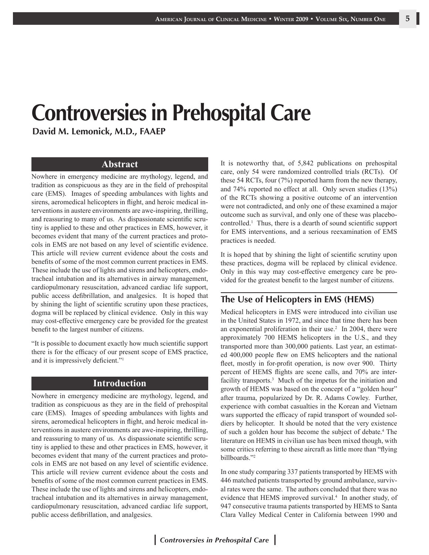# **Controversies in Prehospital Care**

**David M. Lemonick, M.D., FAAEP**

#### **Abstract**

Nowhere in emergency medicine are mythology, legend, and tradition as conspicuous as they are in the field of prehospital care (EMS). Images of speeding ambulances with lights and sirens, aeromedical helicopters in flight, and heroic medical interventions in austere environments are awe-inspiring, thrilling, and reassuring to many of us. As dispassionate scientific scrutiny is applied to these and other practices in EMS, however, it becomes evident that many of the current practices and protocols in EMS are not based on any level of scientific evidence. This article will review current evidence about the costs and benefits of some of the most common current practices in EMS. These include the use of lights and sirens and helicopters, endotracheal intubation and its alternatives in airway management, cardiopulmonary resuscitation, advanced cardiac life support, public access defibrillation, and analgesics. It is hoped that by shining the light of scientific scrutiny upon these practices, dogma will be replaced by clinical evidence. Only in this way may cost-effective emergency care be provided for the greatest benefit to the largest number of citizens.

"It is possible to document exactly how much scientific support there is for the efficacy of our present scope of EMS practice, and it is impressively deficient."1

#### **Introduction**

Nowhere in emergency medicine are mythology, legend, and tradition as conspicuous as they are in the field of prehospital care (EMS). Images of speeding ambulances with lights and sirens, aeromedical helicopters in flight, and heroic medical interventions in austere environments are awe-inspiring, thrilling, and reassuring to many of us. As dispassionate scientific scrutiny is applied to these and other practices in EMS, however, it becomes evident that many of the current practices and protocols in EMS are not based on any level of scientific evidence. This article will review current evidence about the costs and benefits of some of the most common current practices in EMS. These include the use of lights and sirens and helicopters, endotracheal intubation and its alternatives in airway management, cardiopulmonary resuscitation, advanced cardiac life support, public access defibrillation, and analgesics.

It is noteworthy that, of 5,842 publications on prehospital care, only 54 were randomized controlled trials (RCTs). Of these 54 RCTs, four (7%) reported harm from the new therapy, and 74% reported no effect at all. Only seven studies (13%) of the RCTs showing a positive outcome of an intervention were not contradicted, and only one of these examined a major outcome such as survival, and only one of these was placebocontrolled.1 Thus, there is a dearth of sound scientific support for EMS interventions, and a serious reexamination of EMS practices is needed.

It is hoped that by shining the light of scientific scrutiny upon these practices, dogma will be replaced by clinical evidence. Only in this way may cost-effective emergency care be provided for the greatest benefit to the largest number of citizens.

#### **The Use of Helicopters in EMS (HEMS)**

Medical helicopters in EMS were introduced into civilian use in the United States in 1972, and since that time there has been an exponential proliferation in their use. $2$  In 2004, there were approximately 700 HEMS helicopters in the U.S., and they transported more than 300,000 patients. Last year, an estimated 400,000 people flew on EMS helicopters and the national fleet, mostly in for-profit operation, is now over 900. Thirty percent of HEMS flights are scene calls, and 70% are interfacility transports.<sup>3</sup> Much of the impetus for the initiation and growth of HEMS was based on the concept of a "golden hour" after trauma, popularized by Dr. R. Adams Cowley. Further, experience with combat casualties in the Korean and Vietnam wars supported the efficacy of rapid transport of wounded soldiers by helicopter. It should be noted that the very existence of such a golden hour has become the subject of debate.4 The literature on HEMS in civilian use has been mixed though, with some critics referring to these aircraft as little more than "flying billboards."2

In one study comparing 337 patients transported by HEMS with 446 matched patients transported by ground ambulance, survival rates were the same. The authors concluded that there was no evidence that HEMS improved survival.<sup>4</sup> In another study, of 947 consecutive trauma patients transported by HEMS to Santa Clara Valley Medical Center in California between 1990 and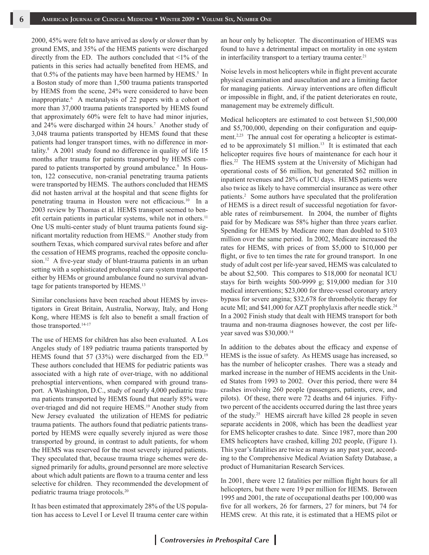2000, 45% were felt to have arrived as slowly or slower than by ground EMS, and 35% of the HEMS patients were discharged directly from the ED. The authors concluded that <1% of the patients in this series had actually benefited from HEMS, and that  $0.5\%$  of the patients may have been harmed by HEMS.<sup>5</sup> In a Boston study of more than 1,500 trauma patients transported by HEMS from the scene, 24% were considered to have been inappropriate.6 A metanalysis of 22 papers with a cohort of more than 37,000 trauma patients transported by HEMS found that approximately 60% were felt to have had minor injuries, and 24% were discharged within 24 hours.<sup>7</sup> Another study of 3,048 trauma patients transported by HEMS found that these patients had longer transport times, with no difference in mortality.8 A 2001 study found no difference in quality of life 15 months after trauma for patients transported by HEMS compared to patients transported by ground ambulance.<sup>9</sup> In Houston, 122 consecutive, non-cranial penetrating trauma patients were transported by HEMS. The authors concluded that HEMS did not hasten arrival at the hospital and that scene flights for penetrating trauma in Houston were not efficacious.<sup>10</sup> In a 2003 review by Thomas et al. HEMS transport seemed to benefit certain patients in particular systems, while not in others.<sup>11</sup> One US multi-center study of blunt trauma patients found significant mortality reduction from HEMS.11 Another study from southern Texas, which compared survival rates before and after the cessation of HEMS programs, reached the opposite conclusion.<sup>12</sup> A five-year study of blunt-trauma patients in an urban setting with a sophisticated prehospital care system transported either by HEMs or ground ambulance found no survival advantage for patients transported by HEMS.<sup>13</sup>

Similar conclusions have been reached about HEMS by investigators in Great Britain, Australia, Norway, Italy, and Hong Kong, where HEMS is felt also to benefit a small fraction of those transported.<sup>14-17</sup>

The use of HEMS for children has also been evaluated. A Los Angeles study of 189 pediatric trauma patients transported by HEMS found that 57 (33%) were discharged from the ED.<sup>19</sup> These authors concluded that HEMS for pediatric patients was associated with a high rate of over-triage, with no additional prehosptial interventions, when compared with ground transport. A Washington, D.C., study of nearly 4,000 pediatric trauma patients transported by HEMS found that nearly 85% were over-triaged and did not require HEMS.19 Another study from New Jersey evaluated the utilization of HEMS for pediatric trauma patients. The authors found that pediatric patients transported by HEMS were equally severely injured as were those transported by ground, in contrast to adult patients, for whom the HEMS was reserved for the most severely injured patients. They speculated that, because trauma triage schemes were designed primarily for adults, ground personnel are more selective about which adult patients are flown to a trauma center and less selective for children. They recommended the development of pediatric trauma triage protocols.20

It has been estimated that approximately 28% of the US population has access to Level I or Level II trauma center care within an hour only by helicopter. The discontinuation of HEMS was found to have a detrimental impact on mortality in one system in interfacility transport to a tertiary trauma center.<sup>21</sup>

Noise levels in most helicopters while in flight prevent accurate physical examination and auscultation and are a limiting factor for managing patients. Airway interventions are often difficult or impossible in flight, and, if the patient deteriorates en route, management may be extremely difficult.

Medical helicopters are estimated to cost between \$1,500,000 and \$5,700,000, depending on their configuration and equipment.<sup>2,23</sup> The annual cost for operating a helicopter is estimated to be approximately \$1 million.<sup>13</sup> It is estimated that each helicopter requires five hours of maintenance for each hour it flies.<sup>22</sup> The HEMS system at the University of Michigan had operational costs of \$6 million, but generated \$62 million in inpatient revenues and 28% of ICU days. HEMS patients were also twice as likely to have commercial insurance as were other patients.<sup>2</sup> Some authors have speculated that the proliferation of HEMS is a direct result of successful negotiation for favorable rates of reimbursement. In 2004, the number of flights paid for by Medicare was 58% higher than three years earlier. Spending for HEMS by Medicare more than doubled to \$103 million over the same period. In 2002, Medicare increased the rates for HEMS, with prices of from \$5,000 to \$10,000 per flight, or five to ten times the rate for ground transport. In one study of adult cost per life-year saved, HEMS was calculated to be about \$2,500. This compares to \$18,000 for neonatal ICU stays for birth weights 500-9999 g; \$19,000 median for 310 medical interventions; \$23,000 for three-vessel coronary artery bypass for severe angina; \$32,678 for thrombolytic therapy for acute MI; and \$41,000 for AZT prophylaxis after needle stick.<sup>24</sup> In a 2002 Finish study that dealt with HEMS transport for both trauma and non-trauma diagnoses however, the cost per lifeyear saved was \$30,000.<sup>14</sup>

In addition to the debates about the efficacy and expense of HEMS is the issue of safety. As HEMS usage has increased, so has the number of helicopter crashes. There was a steady and marked increase in the number of HEMS accidents in the United States from 1993 to 2002. Over this period, there were 84 crashes involving 260 people (passengers, patients, crew, and pilots). Of these, there were 72 deaths and 64 injuries. Fiftytwo percent of the accidents occurred during the last three years of the study.25 HEMS aircraft have killed 28 people in seven separate accidents in 2008, which has been the deadliest year for EMS helicopter crashes to date. Since 1987, more than 200 EMS helicopters have crashed, killing 202 people, (Figure 1). This year's fatalities are twice as many as any past year, according to the Comprehensive Medical Aviation Safety Database, a product of Humanitarian Research Services.

In 2001, there were 12 fatalities per million flight hours for all helicopters, but there were 19 per million for HEMS. Between 1995 and 2001, the rate of occupational deaths per 100,000 was five for all workers, 26 for farmers, 27 for miners, but 74 for HEMS crew. At this rate, it is estimated that a HEMS pilot or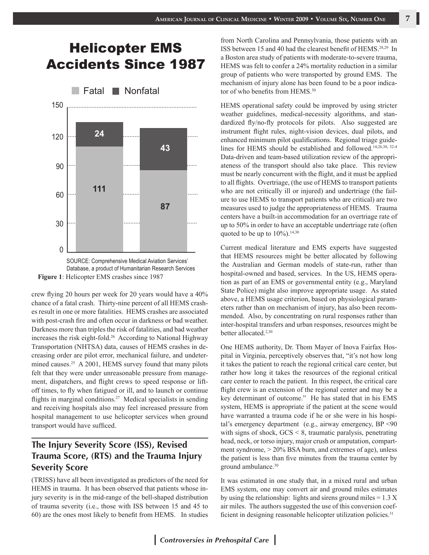## Helicopter EMS Accidents Since 1987





crew flying 20 hours per week for 20 years would have a 40% chance of a fatal crash. Thirty-nine percent of all HEMS crashes result in one or more fatalities. HEMS crashes are associated with post-crash fire and often occur in darkness or bad weather. Darkness more than triples the risk of fatalities, and bad weather increases the risk eight-fold.26 According to National Highway Transportation (NHTSA) data, causes of HEMS crashes in decreasing order are pilot error, mechanical failure, and undetermined causes.<sup>25</sup> A 2001, HEMS survey found that many pilots felt that they were under unreasonable pressure from management, dispatchers, and flight crews to speed response or liftoff times, to fly when fatigued or ill, and to launch or continue flights in marginal conditions.<sup>27</sup> Medical specialists in sending and receiving hospitals also may feel increased pressure from hospital management to use helicopter services when ground transport would have sufficed.

## **The Injury Severity Score (ISS), Revised Trauma Score, (RTS) and the Trauma Injury Severity Score**

(TRISS) have all been investigated as predictors of the need for HEMS in trauma. It has been observed that patients whose injury severity is in the mid-range of the bell-shaped distribution of trauma severity (i.e., those with ISS between 15 and 45 to 60) are the ones most likely to benefit from HEMS. In studies from North Carolina and Pennsylvania, those patients with an ISS between 15 and 40 had the clearest benefit of HEMS.28,29 In a Boston area study of patients with moderate-to-severe trauma, HEMS was felt to confer a 24% mortality reduction in a similar group of patients who were transported by ground EMS. The mechanism of injury alone has been found to be a poor indicator of who benefits from HEMS.<sup>30</sup>

HEMS operational safety could be improved by using stricter weather guidelines, medical-necessity algorithms, and standardized fly/no-fly protocols for pilots. Also suggested are instrument flight rules, night-vision devices, dual pilots, and enhanced minimum pilot qualifications. Regional triage guidelines for HEMS should be established and followed.14,26,30, 32-4 Data-driven and team-based utilization review of the appropriateness of the transport should also take place. This review must be nearly concurrent with the flight, and it must be applied to all flights. Overtriage, (the use of HEMS to transport patients who are not critically ill or injured) and undertriage (the failure to use HEMS to transport patients who are critical) are two measures used to judge the appropriateness of HEMS. Trauma centers have a built-in accommodation for an overtriage rate of up to 50% in order to have an acceptable undertriage rate (often quoted to be up to  $10\%$ ).<sup>14,30</sup>

Current medical literature and EMS experts have suggested that HEMS resources might be better allocated by following the Australian and German models of state-run, rather than hospital-owned and based, services. In the US, HEMS operation as part of an EMS or governmental entity (e.g., Maryland State Police) might also improve appropriate usage. As stated above, a HEMS usage criterion, based on physiological parameters rather than on mechanism of injury, has also been recommended. Also, by concentrating on rural responses rather than inter-hospital transfers and urban responses, resources might be better allocated.<sup>2,30</sup>

One HEMS authority, Dr. Thom Mayer of Inova Fairfax Hospital in Virginia, perceptively observes that, "it's not how long it takes the patient to reach the regional critical care center, but rather how long it takes the resources of the regional critical care center to reach the patient. In this respect, the critical care flight crew is an extension of the regional center and may be a key determinant of outcome." He has stated that in his EMS system, HEMS is appropriate if the patient at the scene would have warranted a trauma code if he or she were in his hospital's emergency department (e.g., airway emergency, BP <90 with signs of shock, GCS  $\leq$  8, traumatic paralysis, penetrating head, neck, or torso injury, major crush or amputation, compartment syndrome, > 20% BSA burn, and extremes of age), unless the patient is less than five minutes from the trauma center by ground ambulance.<sup>30</sup>

It was estimated in one study that, in a mixed rural and urban EMS system, one may convert air and ground miles estimates by using the relationship: lights and sirens ground miles  $= 1.3$  X air miles. The authors suggested the use of this conversion coefficient in designing reasonable helicopter utilization policies.<sup>31</sup>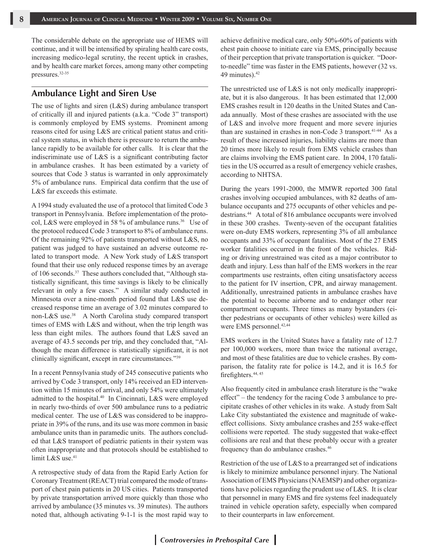The considerable debate on the appropriate use of HEMS will continue, and it will be intensified by spiraling health care costs, increasing medico-legal scrutiny, the recent uptick in crashes, and by health care market forces, among many other competing pressures.32-35

## **Ambulance Light and Siren Use**

The use of lights and siren (L&S) during ambulance transport of critically ill and injured patients (a.k.a. "Code 3" transport) is commonly employed by EMS systems. Prominent among reasons cited for using L&S are critical patient status and critical system status, in which there is pressure to return the ambulance rapidly to be available for other calls. It is clear that the indiscriminate use of L&S is a significant contributing factor in ambulance crashes. It has been estimated by a variety of sources that Code 3 status is warranted in only approximately 5% of ambulance runs. Empirical data confirm that the use of L&S far exceeds this estimate.

A 1994 study evaluated the use of a protocol that limited Code 3 transport in Pennsylvania. Before implementation of the protocol, L&S were employed in 58 % of ambulance runs.<sup>36</sup> Use of the protocol reduced Code 3 transport to 8% of ambulance runs. Of the remaining 92% of patients transported without L&S, no patient was judged to have sustained an adverse outcome related to transport mode. A New York study of L&S transport found that their use only reduced response times by an average of 106 seconds.<sup>37</sup> These authors concluded that, "Although statistically significant, this time savings is likely to be clinically relevant in only a few cases." A similar study conducted in Minnesota over a nine-month period found that L&S use decreased response time an average of 3.02 minutes compared to non-L&S use.<sup>38</sup> A North Carolina study compared transport times of EMS with L&S and without, when the trip length was less than eight miles. The authors found that L&S saved an average of 43.5 seconds per trip, and they concluded that, "Although the mean difference is statistically significant, it is not clinically significant, except in rare circumstances."39

In a recent Pennsylvania study of 245 consecutive patients who arrived by Code 3 transport, only 14% received an ED intervention within 15 minutes of arrival, and only 54% were ultimately admitted to the hospital.<sup>40</sup> In Cincinnati, L&S were employed in nearly two-thirds of over 500 ambulance runs to a pediatric medical center. The use of L&S was considered to be inappropriate in 39% of the runs, and its use was more common in basic ambulance units than in paramedic units. The authors concluded that L&S transport of pediatric patients in their system was often inappropriate and that protocols should be established to limit L&S use.<sup>41</sup>

A retrospective study of data from the Rapid Early Action for Coronary Treatment (REACT) trial compared the mode of transport of chest pain patients in 20 US cities. Patients transported by private transportation arrived more quickly than those who arrived by ambulance (35 minutes vs. 39 minutes). The authors noted that, although activating 9-1-1 is the most rapid way to achieve definitive medical care, only 50%-60% of patients with chest pain choose to initiate care via EMS, principally because of their perception that private transportation is quicker. "Doorto-needle" time was faster in the EMS patients, however (32 vs. 49 minutes).<sup>42</sup>

The unrestricted use of L&S is not only medically inappropriate, but it is also dangerous. It has been estimated that 12,000 EMS crashes result in 120 deaths in the United States and Canada annually. Most of these crashes are associated with the use of L&S and involve more frequent and more severe injuries than are sustained in crashes in non-Code 3 transport.<sup>41-44</sup> As a result of these increased injuries, liability claims are more than 20 times more likely to result from EMS vehicle crashes than are claims involving the EMS patient care. In 2004, 170 fatalities in the US occurred as a result of emergency vehicle crashes, according to NHTSA.

During the years 1991-2000, the MMWR reported 300 fatal crashes involving occupied ambulances, with 82 deaths of ambulance occupants and 275 occupants of other vehicles and pedestrians.<sup>44</sup> A total of 816 ambulance occupants were involved in these 300 crashes. Twenty-seven of the occupant fatalities were on-duty EMS workers, representing 3% of all ambulance occupants and 33% of occupant fatalities. Most of the 27 EMS worker fatalities occurred in the front of the vehicles. Riding or driving unrestrained was cited as a major contributor to death and injury. Less than half of the EMS workers in the rear compartments use restraints, often citing unsatisfactory access to the patient for IV insertion, CPR, and airway management. Additionally, unrestrained patients in ambulance crashes have the potential to become airborne and to endanger other rear compartment occupants. Three times as many bystanders (either pedestrians or occupants of other vehicles) were killed as were EMS personnel.<sup>42,44</sup>

EMS workers in the United States have a fatality rate of 12.7 per 100,000 workers, more than twice the national average, and most of these fatalities are due to vehicle crashes. By comparison, the fatality rate for police is 14.2, and it is 16.5 for firefighters.<sup>44, 45</sup>

Also frequently cited in ambulance crash literature is the "wake effect" – the tendency for the racing Code 3 ambulance to precipitate crashes of other vehicles in its wake. A study from Salt Lake City substantiated the existence and magnitude of wakeeffect collisions. Sixty ambulance crashes and 255 wake-effect collisions were reported. The study suggested that wake-effect collisions are real and that these probably occur with a greater frequency than do ambulance crashes.<sup>46</sup>

Restriction of the use of L&S to a prearranged set of indications is likely to minimize ambulance personnel injury. The National Association of EMS Physicians (NAEMSP) and other organizations have policies regarding the prudent use of L&S. It is clear that personnel in many EMS and fire systems feel inadequately trained in vehicle operation safety, especially when compared to their counterparts in law enforcement.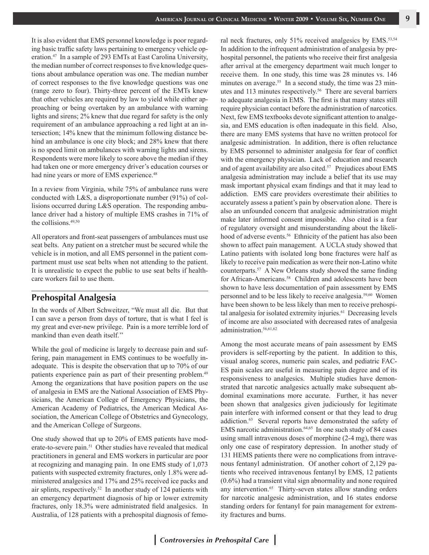It is also evident that EMS personnel knowledge is poor regarding basic traffic safety laws pertaining to emergency vehicle operation.<sup>47</sup> In a sample of 293 EMTs at East Carolina University, the median number of correct responses to five knowledge questions about ambulance operation was one. The median number of correct responses to the five knowledge questions was one (range zero to four). Thirty-three percent of the EMTs knew that other vehicles are required by law to yield while either approaching or being overtaken by an ambulance with warning lights and sirens; 2% knew that due regard for safety is the only requirement of an ambulance approaching a red light at an intersection; 14% knew that the minimum following distance behind an ambulance is one city block; and 28% knew that there is no speed limit on ambulances with warning lights and sirens. Respondents were more likely to score above the median if they had taken one or more emergency driver's education courses or had nine years or more of EMS experience.<sup>48</sup>

In a review from Virginia, while 75% of ambulance runs were conducted with L&S, a disproportionate number (91%) of collisions occurred during L&S operation. The responding ambulance driver had a history of multiple EMS crashes in 71% of the collisions.49,50

All operators and front-seat passengers of ambulances must use seat belts. Any patient on a stretcher must be secured while the vehicle is in motion, and all EMS personnel in the patient compartment must use seat belts when not attending to the patient. It is unrealistic to expect the public to use seat belts if healthcare workers fail to use them.

#### **Prehospital Analgesia**

In the words of Albert Schweitzer, "We must all die. But that I can save a person from days of torture, that is what I feel is my great and ever-new privilege. Pain is a more terrible lord of mankind than even death itself.''

While the goal of medicine is largely to decrease pain and suffering, pain management in EMS continues to be woefully inadequate. This is despite the observation that up to 70% of our patients experience pain as part of their presenting problem.<sup>49</sup> Among the organizations that have position papers on the use of analgesia in EMS are the National Association of EMS Physicians, the American College of Emergency Physicians, the American Academy of Pediatrics, the American Medical Association, the American College of Obstetrics and Gynecology, and the American College of Surgeons.

One study showed that up to 20% of EMS patients have moderate-to-severe pain.<sup>51</sup> Other studies have revealed that medical practitioners in general and EMS workers in particular are poor at recognizing and managing pain. In one EMS study of 1,073 patients with suspected extremity fractures, only 1.8% were administered analgesics and 17% and 25% received ice packs and air splints, respectively.<sup>52</sup> In another study of 124 patients with an emergency department diagnosis of hip or lower extremity fractures, only 18.3% were administrated field analgesics. In Australia, of 128 patients with a prehospital diagnosis of femoral neck fractures, only 51% received analgesics by EMS.<sup>53,54</sup> In addition to the infrequent administration of analgesia by prehospital personnel, the patients who receive their first analgesia after arrival at the emergency department wait much longer to receive them. In one study, this time was 28 minutes vs. 146 minutes on average.<sup>55</sup> In a second study, the time was 23 minutes and 113 minutes respectively.<sup>56</sup> There are several barriers to adequate analgesia in EMS. The first is that many states still require physician contact before the administration of narcotics. Next, few EMS textbooks devote significant attention to analgesia, and EMS education is often inadequate in this field. Also, there are many EMS systems that have no written protocol for analgesic administration. In addition, there is often reluctance by EMS personnel to administer analgesia for fear of conflict with the emergency physician. Lack of education and research and of agent availability are also cited.<sup>57</sup> Prejudices about EMS analgesia administration may include a belief that its use may mask important physical exam findings and that it may lead to addiction. EMS care providers overestimate their abilities to accurately assess a patient's pain by observation alone. There is also an unfounded concern that analgesic administration might make later informed consent impossible. Also cited is a fear of regulatory oversight and misunderstanding about the likelihood of adverse events.<sup>56</sup> Ethnicity of the patient has also been shown to affect pain management. A UCLA study showed that Latino patients with isolated long bone fractures were half as likely to receive pain medication as were their non-Latino white counterparts.57 A New Orleans study showed the same finding for African-Americans.<sup>58</sup> Children and adolescents have been shown to have less documentation of pain assessment by EMS personnel and to be less likely to receive analgesia.<sup>59,60</sup> Women have been shown to be less likely than men to receive prehospital analgesia for isolated extremity injuries.<sup>61</sup> Decreasing levels of income are also associated with decreased rates of analgesia administration.<sup>56,61,62</sup>

Among the most accurate means of pain assessment by EMS providers is self-reporting by the patient. In addition to this, visual analog scores, numeric pain scales, and pediatric FAC-ES pain scales are useful in measuring pain degree and of its responsiveness to analgesics. Multiple studies have demonstrated that narcotic analgesics actually make subsequent abdominal examinations more accurate. Further, it has never been shown that analgesics given judiciously for legitimate pain interfere with informed consent or that they lead to drug addiction.63 Several reports have demonstrated the safety of EMS narcotic administration.<sup>64,65</sup> In one such study of 84 cases using small intravenous doses of morphine (2-4 mg), there was only one case of respiratory depression. In another study of 131 HEMS patients there were no complications from intravenous fentanyl administration. Of another cohort of 2,129 patients who received intravenous fentanyl by EMS, 12 patients (0.6%) had a transient vital sign abnormality and none required any intervention.<sup>65</sup> Thirty-seven states allow standing orders for narcotic analgesic administration, and 16 states endorse standing orders for fentanyl for pain management for extremity fractures and burns.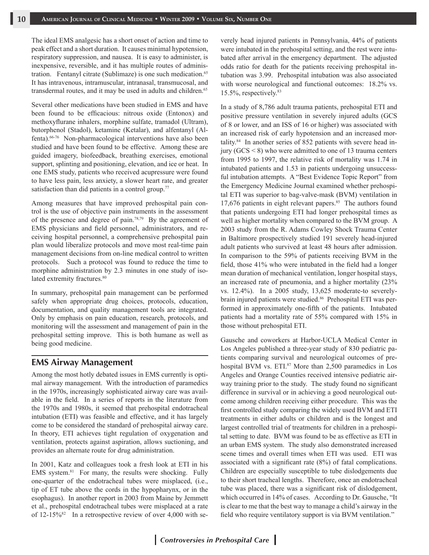The ideal EMS analgesic has a short onset of action and time to peak effect and a short duration. It causes minimal hypotension, respiratory suppression, and nausea. It is easy to administer, is inexpensive, reversible, and it has multiple routes of administration. Fentanyl citrate (Sublimaze) is one such medication.<sup>65</sup> It has intravenous, intramuscular, intranasal, transmucosal, and transdermal routes, and it may be used in adults and children.<sup>65</sup>

Several other medications have been studied in EMS and have been found to be efficacious: nitrous oxide (Entonox) and methoxyflurane inhalers, morphine sulfate, tramadol (Ultram), butorphenol (Stadol), ketamine (Ketalar), and alfentanyl (Alfenta).66-76 Non-pharmacological interventions have also been studied and have been found to be effective. Among these are guided imagery, biofeedback, breathing exercises, emotional support, splinting and positioning, elevation, and ice or heat. In one EMS study, patients who received acupressure were found to have less pain, less anxiety, a slower heart rate, and greater satisfaction than did patients in a control group.<sup>77</sup>

Among measures that have improved prehospital pain control is the use of objective pain instruments in the assessment of the presence and degree of pain.78,79 By the agreement of EMS physicians and field personnel, administrators, and receiving hospital personnel, a comprehensive prehospital pain plan would liberalize protocols and move most real-time pain management decisions from on-line medical control to written protocols. Such a protocol was found to reduce the time to morphine administration by 2.3 minutes in one study of isolated extremity fractures.<sup>80</sup>

In summary, prehospital pain management can be performed safely when appropriate drug choices, protocols, education, documentation, and quality management tools are integrated. Only by emphasis on pain education, research, protocols, and monitoring will the assessment and management of pain in the prehospital setting improve. This is both humane as well as being good medicine.

## **EMS Airway Management**

Among the most hotly debated issues in EMS currently is optimal airway management. With the introduction of paramedics in the 1970s, increasingly sophisticated airway care was available in the field. In a series of reports in the literature from the 1970s and 1980s, it seemed that prehospital endotracheal intubation (ETI) was feasible and effective, and it has largely come to be considered the standard of prehospital airway care. In theory, ETI achieves tight regulation of oxygenation and ventilation, protects against aspiration, allows suctioning, and provides an alternate route for drug administration.

In 2001, Katz and colleagues took a fresh look at ETI in his EMS system.<sup>81</sup> For many, the results were shocking. Fully one-quarter of the endotracheal tubes were misplaced, (i.e., tip of ET tube above the cords in the hypopharynx, or in the esophagus). In another report in 2003 from Maine by Jemmett et al., prehospital endotracheal tubes were misplaced at a rate of  $12-15\%$ <sup>82</sup> In a retrospective review of over 4,000 with severely head injured patients in Pennsylvania, 44% of patients were intubated in the prehospital setting, and the rest were intubated after arrival in the emergency department. The adjusted odds ratio for death for the patients receiving prehospital intubation was 3.99. Prehospital intubation was also associated with worse neurological and functional outcomes: 18.2% vs. 15.5%, respectively.83

In a study of 8,786 adult trauma patients, prehospital ETI and positive pressure ventilation in severely injured adults (GCS of 8 or lower, and an ISS of 16 or higher) was associated with an increased risk of early hypotension and an increased mortality.<sup>84</sup> In another series of 852 patients with severe head injury (GCS < 8) who were admitted to one of 13 trauma centers from 1995 to 1997, the relative risk of mortality was 1.74 in intubated patients and 1.53 in patients undergoing unsuccessful intubation attempts. A "Best Evidence Topic Report" from the Emergency Medicine Journal examined whether prehospital ETI was superior to bag-valve-mask (BVM) ventilation in 17,676 patients in eight relevant papers. $85$  The authors found that patients undergoing ETI had longer prehospital times as well as higher mortality when compared to the BVM group. A 2003 study from the R. Adams Cowley Shock Trauma Center in Baltimore prospectively studied 191 severely head-injured adult patients who survived at least 48 hours after admission. In comparison to the 59% of patients receiving BVM in the field, those 41% who were intubated in the field had a longer mean duration of mechanical ventilation, longer hospital stays, an increased rate of pneumonia, and a higher mortality (23% vs. 12.4%). In a 2005 study, 13,625 moderate-to severelybrain injured patients were studied.86 Prehospital ETI was performed in approximately one-fifth of the patients. Intubated patients had a mortality rate of 55% compared with 15% in those without prehospital ETI.

Gausche and coworkers at Harbor-UCLA Medical Center in Los Angeles published a three-year study of 830 pediatric patients comparing survival and neurological outcomes of prehospital BVM vs. ETI.<sup>87</sup> More than 2,500 paramedics in Los Angeles and Orange Counties received intensive pediatric airway training prior to the study. The study found no significant difference in survival or in achieving a good neurological outcome among children receiving either procedure. This was the first controlled study comparing the widely used BVM and ETI treatments in either adults or children and is the longest and largest controlled trial of treatments for children in a prehospital setting to date. BVM was found to be as effective as ETI in an urban EMS system. The study also demonstrated increased scene times and overall times when ETI was used. ETI was associated with a significant rate (8%) of fatal complications. Children are especially susceptible to tube dislodgements due to their short tracheal lengths. Therefore, once an endotracheal tube was placed, there was a significant risk of dislodgement, which occurred in 14% of cases. According to Dr. Gausche, "It is clear to me that the best way to manage a child's airway in the field who require ventilatory support is via BVM ventilation."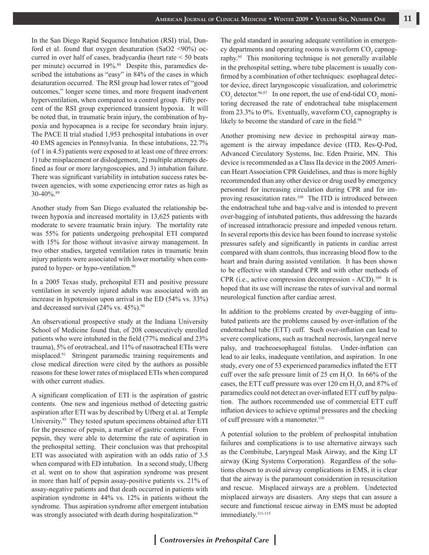In the San Diego Rapid Sequence Intubation (RSI) trial, Dunford et al. found that oxygen desaturation (SaO2 <90%) occurred in over half of cases, bradycardia (heart rate < 50 beats per minute) occurred in 19%.<sup>88</sup> Despite this, paramedics described the intubations as "easy" in 84% of the cases in which desaturation occurred. The RSI group had lower rates of "good outcomes," longer scene times, and more frequent inadvertent hyperventilation, when compared to a control group. Fifty percent of the RSI group experienced transient hypoxia. It will be noted that, in traumatic brain injury, the combination of hypoxia and hypocapnea is a recipe for secondary brain injury. The PACE II trial studied 1,953 prehospital intubations in over 40 EMS agencies in Pennsylvania. In these intubations, 22.7% (of 1 in 4.5) patients were exposed to at least one of three errors: 1) tube misplacement or dislodgement, 2) multiple attempts defined as four or more laryngoscopies, and 3) intubation failure. There was significant variability in intubation success rates between agencies, with some experiencing error rates as high as 30-40%.89

Another study from San Diego evaluated the relationship between hypoxia and increased mortality in 13,625 patients with moderate to severe traumatic brain injury. The mortality rate was 55% for patients undergoing prehospital ETI compared with 15% for those without invasive airway management. In two other studies, targeted ventilation rates in traumatic brain injury patients were associated with lower mortality when compared to hyper- or hypo-ventilation.<sup>90</sup>

In a 2005 Texas study, prehospital ETI and positive pressure ventilation in severely injured adults was associated with an increase in hypotension upon arrival in the ED (54% vs. 33%) and decreased survival  $(24\% \text{ vs. } 45\%)$ .<sup>90</sup>

An observational prospective study at the Indiana University School of Medicine found that, of 208 consecutively enrolled patients who were intubated in the field (77% medical and 23% trauma), 5% of orotracheal, and 11% of nasotracheal ETIs were misplaced.91 Stringent paramedic training requirements and close medical direction were cited by the authors as possible reasons for these lower rates of misplaced ETIs when compared with other current studies.

A significant complication of ETI is the aspiration of gastric contents. One new and ingenious method of detecting gastric aspiration after ETI was by described by Ufberg et al. at Temple University.<sup>93</sup> They tested sputum specimens obtained after ETI for the presence of pepsin, a marker of gastric contents. From pepsin, they were able to determine the rate of aspiration in the prehospital setting. Their conclusion was that prehospital ETI was associated with aspiration with an odds ratio of 3.5 when compared with ED intubation. In a second study, Ufberg et al. went on to show that aspiration syndrome was present in more than half of pepsin assay-positive patients vs. 21% of assay-negative patients and that death occurred in patients with aspiration syndrome in 44% vs. 12% in patients without the syndrome. Thus aspiration syndrome after emergent intubation was strongly associated with death during hospitalization.<sup>94</sup>

The gold standard in assuring adequate ventilation in emergency departments and operating rooms is waveform  $CO<sub>2</sub>$  capnography.95 This monitoring technique is not generally available in the prehospital setting, where tube placement is usually confirmed by a combination of other techniques: esophageal detector device, direct laryngoscopic visualization, and colorimetric  $\text{CO}_2$  detector.<sup>96,97</sup> In one report, the use of end-tidal  $\text{CO}_2$  monitoring decreased the rate of endotracheal tube misplacement from 23.3% to 0%. Eventually, waveform  $CO_2$  capnography is likely to become the standard of care in the field.<sup>98</sup>

Another promising new device in prehospital airway management is the airway impedance device (ITD, Res-Q-Pod, Advanced Circulatory Systems, Inc. Eden Prairie, MN. This device is recommended as a Class IIa device in the 2005 American Heart Association CPR Guidelines, and thus is more highly recommended than any other device or drug used by emergency personnel for increasing circulation during CPR and for improving resuscitation rates.<sup>108</sup> The ITD is introduced between the endotracheal tube and bag-valve and is intended to prevent over-bagging of intubated patients, thus addressing the hazards of increased intrathoracic pressure and impeded venous return. In several reports this device has been found to increase systolic pressures safely and significantly in patients in cardiac arrest compared with sham controls, thus increasing blood flow to the heart and brain during assisted ventilation. It has been shown to be effective with standard CPR and with other methods of CPR (i.e., active compression decompression - ACD).<sup>109</sup> It is hoped that its use will increase the rates of survival and normal neurological function after cardiac arrest.

In addition to the problems created by over-bagging of intubated patients are the problems caused by over-inflation of the endotracheal tube (ETT) cuff. Such over-inflation can lead to severe complications, such as tracheal necrosis, laryngeal nerve palsy, and tracheoesophageal fistulas. Under-inflation can lead to air leaks, inadequate ventilation, and aspiration. In one study, every one of 53 experienced paramedics inflated the ETT cuff over the safe pressure limit of 25 cm  $H_2O$ . In 66% of the cases, the ETT cuff pressure was over  $120 \text{ cm H}_2\text{O}$ , and  $87\%$  of paramedics could not detect an over-inflated ETT cuff by palpation. The authors recommended use of commercial ETT cuff inflation devices to achieve optimal pressures and the checking of cuff pressure with a manometer.<sup>110</sup>

A potential solution to the problem of prehospital intubation failures and complications is to use alternative airways such as the Combitube, Laryngeal Mask Airway, and the King LT airway (King Systems Corporation). Regardless of the solutions chosen to avoid airway complications in EMS, it is clear that the airway is the paramount consideration in resuscitation and rescue. Misplaced airways are a problem. Undetected misplaced airways are disasters. Any steps that can assure a secure and functional rescue airway in EMS must be adopted immediately.<sup>111-115</sup>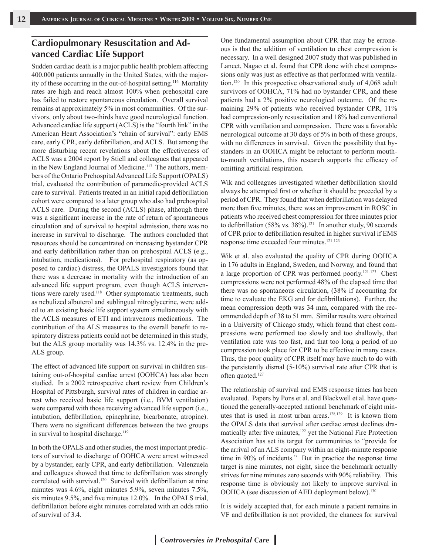## **Cardiopulmonary Resuscitation and Advanced Cardiac Life Support**

Sudden cardiac death is a major public health problem affecting 400,000 patients annually in the United States, with the majority of these occurring in the out-of-hospital setting.116 Mortality rates are high and reach almost 100% when prehospital care has failed to restore spontaneous circulation. Overall survival remains at approximately 5% in most communities. Of the survivors, only about two-thirds have good neurological function. Advanced cardiac life support (ACLS) is the "fourth link" in the American Heart Association's "chain of survival": early EMS care, early CPR, early defibrillation, and ACLS. But among the more disturbing recent revelations about the effectiveness of ACLS was a 2004 report by Stiell and colleagues that appeared in the New England Journal of Medicine.<sup>117</sup> The authors, members of the Ontario Prehospital Advanced Life Support (OPALS) trial, evaluated the contribution of paramedic-provided ACLS care to survival. Patients treated in an initial rapid defibrillation cohort were compared to a later group who also had prehospital ACLS care. During the second (ACLS) phase, although there was a significant increase in the rate of return of spontaneous circulation and of survival to hospital admission, there was no increase in survival to discharge. The authors concluded that resources should be concentrated on increasing bystander CPR and early defibrillation rather than on prehospital ACLS (e.g., intubation, medications). For prehospital respiratory (as opposed to cardiac) distress, the OPALS investigators found that there was a decrease in mortality with the introduction of an advanced life support program, even though ACLS interventions were rarely used.<sup>118</sup> Other symptomatic treatments, such as nebulized albuterol and sublingual nitroglycerine, were added to an existing basic life support system simultaneously with the ACLS measures of ETI and intravenous medications. The contribution of the ALS measures to the overall benefit to respiratory distress patients could not be determined in this study, but the ALS group mortality was 14.3% vs. 12.4% in the pre-ALS group.

The effect of advanced life support on survival in children sustaining out-of-hospital cardiac arrest (OOHCA) has also been studied. In a 2002 retrospective chart review from Children's Hospital of Pittsburgh, survival rates of children in cardiac arrest who received basic life support (i.e., BVM ventilation) were compared with those receiving advanced life support (i.e., intubation, defibrillation, epinephrine, bicarbonate, atropine). There were no significant differences between the two groups in survival to hospital discharge.<sup>119</sup>

In both the OPALS and other studies, the most important predictors of survival to discharge of OOHCA were arrest witnessed by a bystander, early CPR, and early defibrillation. Valenzuela and colleagues showed that time to defibrillation was strongly correlated with survival.<sup>120</sup> Survival with defibrillation at nine minutes was 4.6%, eight minutes 5.9%, seven minutes 7.5%, six minutes 9.5%, and five minutes 12.0%. In the OPALS trial, defibrillation before eight minutes correlated with an odds ratio of survival of 3.4.

One fundamental assumption about CPR that may be erroneous is that the addition of ventilation to chest compression is necessary. In a well designed 2007 study that was published in Lancet, Nagao et al. found that CPR done with chest compressions only was just as effective as that performed with ventilation.120 In this prospective observational study of 4,068 adult survivors of OOHCA, 71% had no bystander CPR, and these patients had a 2% positive neurological outcome. Of the remaining 29% of patients who received bystander CPR, 11% had compression-only resuscitation and 18% had conventional CPR with ventilation and compression. There was a favorable neurological outcome at 30 days of 5% in both of these groups, with no differences in survival. Given the possibility that bystanders in an OOHCA might be reluctant to perform mouthto-mouth ventilations, this research supports the efficacy of omitting artificial respiration.

Wik and colleagues investigated whether defibrillation should always be attempted first or whether it should be preceded by a period of CPR. They found that when defibrillation was delayed more than five minutes, there was an improvement in ROSC in patients who received chest compression for three minutes prior to defibrillation (58% vs. 38%).<sup>121</sup> In another study, 90 seconds of CPR prior to defibrillation resulted in higher survival if EMS response time exceeded four minutes.121-123

Wik et al. also evaluated the quality of CPR during OOHCA in 176 adults in England, Sweden, and Norway, and found that a large proportion of CPR was performed poorly.121-123 Chest compressions were not performed 48% of the elapsed time that there was no spontaneous circulation, (38% if accounting for time to evaluate the EKG and for defibrillations). Further, the mean compression depth was 34 mm, compared with the recommended depth of 38 to 51 mm. Similar results were obtained in a University of Chicago study, which found that chest compressions were performed too slowly and too shallowly, that ventilation rate was too fast, and that too long a period of no compression took place for CPR to be effective in many cases. Thus, the poor quality of CPR itself may have much to do with the persistently dismal (5-10%) survival rate after CPR that is often quoted.<sup>127</sup>

The relationship of survival and EMS response times has been evaluated. Papers by Pons et al. and Blackwell et al. have questioned the generally-accepted national benchmark of eight minutes that is used in most urban areas.128,129 It is known from the OPALS data that survival after cardiac arrest declines dramatically after five minutes,<sup>122</sup> yet the National Fire Protection Association has set its target for communities to "provide for the arrival of an ALS company within an eight-minute response time in 90% of incidents." But in practice the response time target is nine minutes, not eight, since the benchmark actually strives for nine minutes zero seconds with 90% reliability. This response time is obviously not likely to improve survival in OOHCA (see discussion of AED deployment below).<sup>130</sup>

It is widely accepted that, for each minute a patient remains in VF and defibrillation is not provided, the chances for survival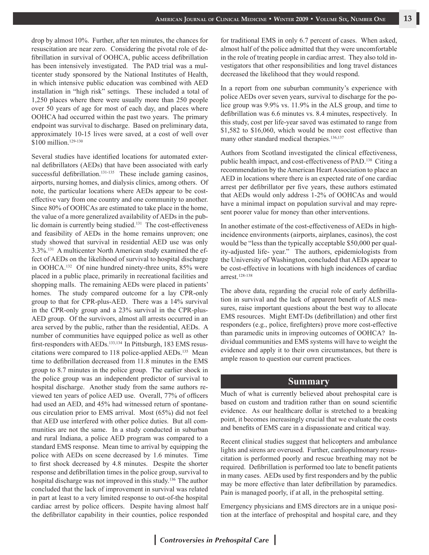drop by almost 10%. Further, after ten minutes, the chances for resuscitation are near zero. Considering the pivotal role of defibrillation in survival of OOHCA, public access defibrillation has been intensively investigated. The PAD trial was a multicenter study sponsored by the National Institutes of Health, in which intensive public education was combined with AED installation in "high risk" settings. These included a total of 1,250 places where there were usually more than 250 people over 50 years of age for most of each day, and places where OOHCA had occurred within the past two years. The primary endpoint was survival to discharge. Based on preliminary data, approximately 10-15 lives were saved, at a cost of well over \$100 million.<sup>129-130</sup>

Several studies have identified locations for automated external defibrillators (AEDs) that have been associated with early successful defibrillation.<sup>131-135</sup> These include gaming casinos, airports, nursing homes, and dialysis clinics, among others. Of note, the particular locations where AEDs appear to be costeffective vary from one country and one community to another. Since 80% of OOHCAs are estimated to take place in the home, the value of a more generalized availability of AEDs in the public domain is currently being studied.<sup>131</sup> The cost-effectiveness and feasibility of AEDs in the home remains unproven; one study showed that survival in residential AED use was only 3.3%.131 A multicenter North American study examined the effect of AEDs on the likelihood of survival to hospital discharge in OOHCA.132 Of nine hundred ninety-three units, 85% were placed in a public place, primarily in recreational facilities and shopping malls. The remaining AEDs were placed in patients' homes. The study compared outcome for a lay CPR-only group to that for CPR-plus-AED. There was a 14% survival in the CPR-only group and a 23% survival in the CPR-plus-AED group. Of the survivors, almost all arrests occurred in an area served by the public, rather than the residential, AEDs. A number of communities have equipped police as well as other first-responders with AEDs.<sup>133,134</sup> In Pittsburgh, 183 EMS resuscitations were compared to 118 police-applied AEDs.135 Mean time to defibrillation decreased from 11.8 minutes in the EMS group to 8.7 minutes in the police group. The earlier shock in the police group was an independent predictor of survival to hospital discharge. Another study from the same authors reviewed ten years of police AED use. Overall, 77% of officers had used an AED, and 45% had witnessed return of spontaneous circulation prior to EMS arrival. Most (65%) did not feel that AED use interfered with other police duties. But all communities are not the same. In a study conducted in suburban and rural Indiana, a police AED program was compared to a standard EMS response. Mean time to arrival by equipping the police with AEDs on scene decreased by 1.6 minutes. Time to first shock decreased by 4.8 minutes. Despite the shorter response and defibrillation times in the police group, survival to hospital discharge was not improved in this study.136 The author concluded that the lack of improvement in survival was related in part at least to a very limited response to out-of-the hospital cardiac arrest by police officers. Despite having almost half the defibrillator capability in their counties, police responded for traditional EMS in only 6.7 percent of cases. When asked, almost half of the police admitted that they were uncomfortable in the role of treating people in cardiac arrest. They also told investigators that other responsibilities and long travel distances decreased the likelihood that they would respond.

In a report from one suburban community's experience with police AEDs over seven years, survival to discharge for the police group was 9.9% vs. 11.9% in the ALS group, and time to defibrillation was 6.6 minutes vs. 8.4 minutes, respectively. In this study, cost per life-year saved was estimated to range from \$1,582 to \$16,060, which would be more cost effective than many other standard medical therapies.<sup>136,137</sup>

Authors from Scotland investigated the clinical effectiveness, public health impact, and cost-effectiveness of PAD.138 Citing a recommendation by the American Heart Association to place an AED in locations where there is an expected rate of one cardiac arrest per defibrillator per five years, these authors estimated that AEDs would only address 1-2% of OOHCAs and would have a minimal impact on population survival and may represent poorer value for money than other interventions.

In another estimate of the cost-effectiveness of AEDs in highincidence environments (airports, airplanes, casinos), the cost would be "less than the typically acceptable \$50,000 per quality-adjusted life- year." The authors, epidemiologists from the University of Washington, concluded that AEDs appear to be cost-effective in locations with high incidences of cardiac arrest.128-138

The above data, regarding the crucial role of early defibrillation in survival and the lack of apparent benefit of ALS measures, raise important questions about the best way to allocate EMS resources. Might EMT-Ds (defibrillation) and other first responders (e.g., police, firefighters) prove more cost-effective than paramedic units in improving outcomes of OOHCA? Individual communities and EMS systems will have to weight the evidence and apply it to their own circumstances, but there is ample reason to question our current practices.

#### **Summary**

Much of what is currently believed about prehospital care is based on custom and tradition rather than on sound scientific evidence. As our healthcare dollar is stretched to a breaking point, it becomes increasingly crucial that we evaluate the costs and benefits of EMS care in a dispassionate and critical way.

Recent clinical studies suggest that helicopters and ambulance lights and sirens are overused. Further, cardiopulmonary resuscitation is performed poorly and rescue breathing may not be required. Defibrillation is performed too late to benefit patients in many cases. AEDs used by first responders and by the public may be more effective than later defibrillation by paramedics. Pain is managed poorly, if at all, in the prehospital setting.

Emergency physicians and EMS directors are in a unique position at the interface of prehospital and hospital care, and they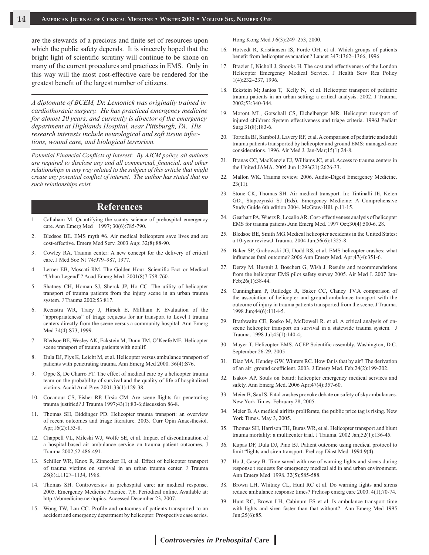are the stewards of a precious and finite set of resources upon which the public safety depends. It is sincerely hoped that the bright light of scientific scrutiny will continue to be shone on many of the current procedures and practices in EMS. Only in this way will the most cost-effective care be rendered for the greatest benefit of the largest number of citizens.

*A diplomate of BCEM, Dr. Lemonick was originally trained in cardiothoracic surgery. He has practiced emergency medicine for almost 20 years, and currently is director of the emergency department at Highlands Hospital, near Pittsburgh, PA. His research interests include neurological and soft tissue infections, wound care, and biological terrorism.*

*Potential Financial Conflicts of Interest: By AJCM policy, all authors are required to disclose any and all commercial, financial, and other relationships in any way related to the subject of this article that might create any potential conflict of interest. The author has stated that no such relationships exist.*

#### **References**

- 1. Callaham M. Quantifying the scanty science of prehospital emergency care. Ann Emerg Med 1997; 30(6):785-790.
- 2. Bledsoe BE. EMS myth #6. Air medical helicopters save lives and are cost-effective. Emerg Med Serv. 2003 Aug; 32(8):88-90.
- 3. Cowley RA. Trauma center: A new concept for the delivery of critical care. J Med Soc NJ 74:979–987, 1977.
- 4. Lerner EB, Moscati RM. The Golden Hour: Scientific Fact or Medical "Urban Legend"? Acad Emerg Med: 2001(8)7:758-760.
- 5. Shatney CH, Homan SJ, Sherck JP, Ho CC. The utility of helicopter transport of trauma patients from the injury scene in an urban trauma system. J Trauma 2002;53:817.
- 6. Reenstra WR, Tracy J, Hirsch E, Millham F. Evaluation of the "appropriateness" of triage requests for air transport to Level I trauma centers directly from the scene versus a community hospital. Ann Emerg Med 34(4):S73, 1999.
- 7. Bledsoe BE, Wesley AK, Eckstein M, Dunn TM, O'Keefe MF. Helicopter scene transport of trauma patients with nonlif.
- 8. Dula DJ, Plys K, Leicht M, et al. Helicopter versus ambulance transport of patients with penetrating trauma. Ann Emerg Med 2000. 36(4):S76.
- 9. Oppe S, De Charro FT. The effect of medical care by a helicopter trauma team on the probability of survival and the quality of life of hospitalized victims. Accid Anal Prev 2001;33(1):129-38.
- 10. Cocanour CS, Fisher RP, Ursic CM. Are scene flights for penetrating trauma justified? J Trauma 1997;43(1):83-6;discussion 86-8.
- 11. Thomas SH, Biddinger PD. Helicopter trauma transport: an overview of recent outcomes and triage literature. 2003. Curr Opin Anaesthesiol. Apr;16(2):153-8.
- 12. Chappell VL, Mileski WJ, Wolfe SE, et al. Impact of discontinuation of a hospital-based air ambulance service on trauma patient outcomes, J Trauma 2002;52:486-491.
- 13. Schiller WR, Knox R, Zinnecker H, et al. Effect of helicopter transport of trauma victims on survival in an urban trauma center. J Trauma 28(8):L1127–1134, 1988.
- 14. Thomas SH. Controversies in prehospital care: air medical response. 2005. Emergency Medicine Practice. 7;6. Periodical online. Available at: http://ebmedicine.net/topics. Accessed December 23, 2007.
- 15. Wong TW, Lau CC. Profile and outcomes of patients transported to an accident and emergency department by helicopter: Prospective case series.

Hong Kong Med J 6(3):249–253, 2000.

- 16. Hotvedt R, Kristiansen IS, Forde OH, et al. Which groups of patients benefit from helicopter evacuation? Lancet 347:1362–1366, 1996.
- 17. Brazier J, Nicholl J, Snooks H. The cost and effectiveness of the London Helicopter Emergency Medical Service. J Health Serv Res Policy 1(4):232–237, 1996.
- 18. Eckstein M; Jantos T, Kelly N, et al. Helicopter transport of pediatric trauma patients in an urban setting: a critical analysis. 2002. J Trauma. 2002;53:340-344.
- 19. Moront ML, Gotschall CS, Eichelberger MR. Helicopter transport of injured children: System effectiveness and triage criteria. 1996J Pediatr Surg 31(8);183-6.
- 20. Tortella BJ, Sambol J, Lavery RF, et al. A comparison of pediatric and adult trauma patients transported by helicopter and ground EMS: managed-care considerations. 1996. Air Med J. Jan-Mar;15(1):24-8.
- 21. Branas CC, MacKenzie EJ, Williams JC, et al. Access to trauma centers in the United JAMA. 2005 Jun 1;293(21):2626-33.
- 22. Mallon WK. Trauma review. 2006. Audio-Digest Emergency Medicine. 23(11).
- 23. Stone CK, Thomas SH. Air medical transport. In: Tintinalli JE, Kelen GD., Stapczynski SJ (Eds). Emergency Medicine: A Comprehensive Study Guide 6th edition 2004. McGraw-Hill. p.11-15.
- 24. Gearhart PA, Wuerz R, Localio AR. Cost-effectiveness analysis of helicopter EMS for trauma patients.Ann Emerg Med. 1997 Oct;30(4):500-6. 28.
- 25. Bledsoe BE, Smith MG.Medical helicopter accidents in the United States: a 10-year review.J Trauma. 2004 Jun;56(6):1325-8.
- 26. Baker SP, Grabowski JG, Dodd RS, et al. EMS helicopter crashes: what influences fatal outcome? 2006 Ann Emerg Med. Apr;47(4):351-6.
- 27. Derzy M, Hustuit J, Boschert G, Wish J. Results and recommendations from the helicopter EMS pilot safety survey 2005. Air Med J. 2007 Jan-Feb;26(1):38-44.
- 28. Cunningham P, Rutledge R, Baker CC, Clancy TV.A comparison of the association of helicopter and ground ambulance transport with the outcome of injury in trauma patients transported from the scene. J Trauma. 1998 Jun;44(6):1114-5.
- 29. Brathwaite CE, Rosko M, McDowell R. et al. A critical analysis of onscene helicopter transport on survival in a statewide trauma system. J Trauma. 1998 Jul;45(1):140-4;
- 30. Mayer T. Helicopter EMS. ACEP Scientific assembly. Washington, D.C. September 26-29. 2005
- 31. Diaz MA, Hendey GW, Winters RC. How far is that by air? The derivation of an air: ground coefficient. 2003. J Emerg Med. Feb;24(2):199-202.
- 32. Isakov AP. Souls on board: helicopter emergency medical services and safety. Ann Emerg Med. 2006 Apr;47(4):357-60.
- 33. Meier B, Saul S. Fatal crashes provoke debate on safety of sky ambulances. New York Times. February 28, 2005.
- 34. Meier B. As medical airlifts proliferate, the public price tag is rising. New York Times. May 3, 2005.
- 35. Thomas SH, Harrison TH, Buras WR, et al. Helicopter transport and blunt trauma mortality: a multicenter trial. J Trauma. 2002 Jan;52(1):136-45.
- 36. Kupas DF, Dula DJ, Pino BJ. Patient outcome using medical protocol to limit "lights and siren transport. Prehosp Diast Med. 1994:9(4).
- 37. Ho J, Casey B. Time saved with use of warning lights and sirens during response t requests for emergency medical aid in and urban environment. Ann Emerg Med 1998. 32(5);585-588.
- 38. Brown LH, Whitney CL, Hunt RC et al. Do warning lights and sirens reduce ambulance response times? Prehosp emerg care 2000. 4(1);70-74.
- 39. Hunt RC, Brown LH, Cabinum ES et al. Is ambulance transport time with lights and siren faster than that without? Ann Emerg Med 1995 Jun;25(6):85.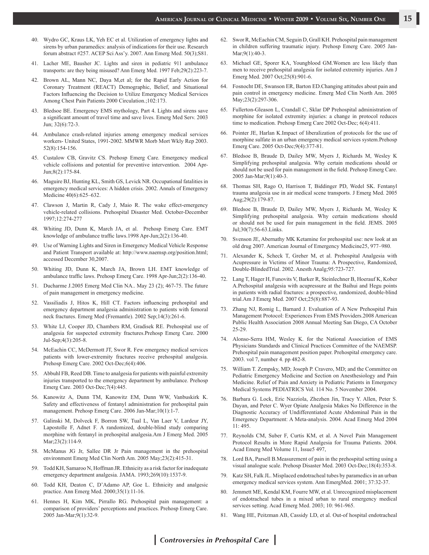- 40. Wydro GC, Kraus LK, Yeh EC et al. Utilization of emergency lights and sirens by urban paramedics: analysis of indications for their use. Research forum abstract #257. ACEP Sci Ass'y. 2007. Ann Emerg Med. 50(3);S81.
- 41. Lacher ME, Bausher JC. Lights and siren in pediatric 911 ambulance transports: are they being misused? Ann Emerg Med. 1997 Feb;29(2):223-7.
- 42. Brown AL, Mann NC, Daya M,et al; for the Rapid Early Action for Coronary Treatment (REACT) Demographic, Belief, and Situational Factors Influencing the Decision to Utilize Emergency Medical Services Among Chest Pain Patients 2000 Circulation.;102:173.
- 43. Bledsoe BE. Emergency EMS mythology, Part 4. Lights and sirens save a significant amount of travel time and save lives. Emerg Med Serv. 2003 Jun; 32(6):72-3.
- 44. Ambulance crash-related injuries among emergency medical services workers- United States, 1991-2002. MMWR Morb Mort Wkly Rep 2003. 52(8):154-156.
- 45. Custalow CB, Gravitz CS. Prehosp Emerg Care. Emergency medical vehicle collisions and potential for preventive intervention. 2004 Apr-Jun;8(2):175-84.
- 46. Maguire BJ, Hunting KL, Smith GS, Levick NR. Occupational fatalities in emergency medical services: A hidden crisis. 2002. Annals of Emergency Medicine 40(6):625–632.
- Clawson J, Martin R, Cady J, Maio R. The wake effect-emergency vehicle-related collisions. Prehospital Disaster Med. October-December 1997;12:274-277
- 48. Whiting JD, Dunn K, March JA, et al. Prehosp Emerg Care. EMT knowledge of ambulance traffic laws.1998 Apr-Jun;2(2):136-40.
- 49. Use of Warning Lights and Siren in Emergency Medical Vehicle Response and Patient Transport available at: http://www.naemsp.org/position.html; accessed December 30,2007.
- 50. Whiting JD, Dunn K, March JA, Brown LH. EMT knowledge of ambulance traffic laws. Prehosp Emerg Care. 1998 Apr-Jun;2(2):136-40.
- 51. Ducharme J.2005 Emerg Med Clin NA.. May 23 (2); 467-75. The future of pain management in emergency medicine.
- 52. Vassiliadis J, Hitos K, Hill CT. Factors influencing prehospital and emergency department analgesia administration to patients with femoral neck fractures. Emerg Med (Fremantle). 2002 Sep;14(3):261-6.
- 53. White LJ, Cooper JD, Chambers RM, Gradisek RE. Prehospital use of analgesia for suspected extremity fractures.Prehosp Emerg Care. 2000 Jul-Sep;4(3):205-8.
- 54. McEachin CC, McDermott JT, Swor R. Few emergency medical services patients with lower-extremity fractures receive prehospital analgesia. Prehosp Emerg Care. 2002 Oct-Dec;6(4):406.
- 55. Abbuhl FB, Reed DB. Time to analgesia for patients with painful extremity injuries transported to the emergency department by ambulance. Prehosp Emerg Care. 2003 Oct-Dec;7(4):445.
- 56. Kanowitz A, Dunn TM, Kanowitz EM, Dunn WW, Vanbuskirk K. Safety and effectiveness of fentanyl administration for prehospital pain management. Prehosp Emerg Care. 2006 Jan-Mar;10(1):1-7.
- 57. Galinski M, Dolveck F, Borron SW, Tual L, Van Laer V, Lardeur JY, Lapostolle F, Adnet F. A randomized, double-blind study comparing morphine with fentanyl in prehospital analgesia.Am J Emerg Med. 2005 Mar; 23(2): 114-9.
- 58. McManus JG Jr, Sallee DR Jr Pain management in the prehospital environment Emerg Med Clin North Am. 2005 May;23(2):415-31.
- 59. Todd KH, Samaroo N, Hoffman JR. Ethnicity as a risk factor for inadequate emergency department analgesia. JAMA. 1993;269(10):1537-9.
- 60. Todd KH, Deaton C, D'Adamo AP, Goe L. Ethnicity and analgesic practice. Ann Emerg Med. 2000;35(1):11-16.
- 61. Hennes H, Kim MK, Pirrallo RG. Prehospital pain management: a comparison of providers' perceptions and practices. Prehosp Emerg Care. 2005 Jan-Mar;9(1):32-9.
- 62. Swor R, McEachin CM, Seguin D, Grall KH. Prehospital pain management in children suffering traumatic injury. Prehosp Emerg Care. 2005 Jan-Mar: 9(1): 40-3.
- 63. Michael GE, Sporer KA, Youngblood GM.Women are less likely than men to receive prehospital analgesia for isolated extremity injuries. Am J Emerg Med. 2007 Oct;25(8):901-6.
- 64. Fosnocht DE, Swanson ER, Barton ED.Changing attitudes about pain and pain control in emergency medicine. Emerg Med Clin North Am. 2005 May;23(2):297-306.
- 65. Fullerton-Gleason L, Crandall C, Sklar DP Prehospital administration of morphine for isolated extremity injuries: a change in protocol reduces time to medication. Prehosp Emerg Care 2002 Oct-Dec; 6(4):411.
- 66. Pointer JE, Harlan K.Impact of liberalization of protocols for the use of morphine sulfate in an urban emergency medical services system.Prehosp Emerg Care. 2005 Oct-Dec;9(4):377-81.
- 67. Bledsoe B, Braude D, Dailey MW, Myers J, Richards M, Wesley K Simplifying prehospital analgesia. Why certain medications should or should not be used for pain management in the field. Prehosp Emerg Care. 2005 Jan-Mar;9(1):40-3.
- 68. Thomas SH, Rago O, Harrison T, Biddinger PD, Wedel SK. Fentanyl trauma analgesia use in air medical scene transports. J Emerg Med. 2005 Aug;29(2):179-87.
- 69. Bledsoe B, Braude D, Dailey MW, Myers J, Richards M, Wesley K Simplifying prehospital analgesia. Why certain medications should or should not be used for pain management in the field. JEMS. 2005 Jul;30(7):56-63.Links.
- 70. Svenson JE, Abernathy MK Ketamine for prehospital use: new look at an old drug 2007. American Journal of Emergency Medicine25, 977–980.
- 71. Alexander K, Scheck T, Greher M, et al. Prehospital Analgesia with Acupressure in Victims of Minor Trauma: A Prospective, Randomized, Double-BlindedTrial. 2002. Anesth Analg;95:723-727.
- 72. Lang T, Hager H, Funovits V, Barker R, Steinlechner B, Hoerauf K, Kober A.Prehospital analgesia with acupressure at the Baihui and Hegu points in patients with radial fractures: a prospective, randomized, double-blind trial.Am J Emerg Med. 2007 Oct;25(8):887-93.
- 73. Zhang NJ, Romig L, Barnard J. Evaluation of A New Prehospital Pain Management Protocol: Experiences From EMS Providers.2008 American Public Health Association 2008 Annual Meeting San Diego, CA October 25-29.
- 74. Alonso-Serra HM, Wesley K. for the National Association of EMS Physicians Standards and Clinical Practices Committee of the NAEMSP. Prehospital pain management position paper. Prehospital emergency care. 2003. vol 7, number 4. pp 482-8.
- William T. Zempsky, MD; Joseph P. Cravero, MD; and the Committee on Pediatric Emergency Medicine and Section on Anesthesiology and Pain Medicine. Relief of Pain and Anxiety in Pediatric Patients in Emergency Medical Systems PEDIATRICS Vol. 114 No. 5 November 2004.
- 76. Barbara G. Lock, Eric Nazziola, Zhezhen Jin, Tracy Y. Allen, Peter S. Dayan, and Peter C. Wyer Opiate Analgesia Makes No Difference in the Diagnostic Accuracy of Undifferentiated Acute Abdominal Pain in the Emergency Department: A Meta-analysis. 2004. Acad Emerg Med 2004 11: 495.
- 77. Reynolds CM, Suber F, Curtis KM, et al. A Novel Pain Management Protocol Results in More Rapid Analgesia for Trauma Patients. 2004. Acad Emerg Med Volume 11, Issue5 497,
- 78. Lord BA, Parsell B.Measurement of pain in the prehospital setting using a visual analogue scale. Prehosp Disaster Med. 2003 Oct-Dec;18(4):353-8.
- 79. Katz SH, Falk JL. Misplaced endotracheal tubes by paramedics in an urban emergency medical services system. Ann EmergMed. 2001; 37:32-37.
- 80. Jemmett ME, Kendal KM, Fourre MW, et al. Unrecognized misplacement of endotracheal tubes in a mixed urban to rural emergency medical services setting. Acad Emerg Med. 2003; 10: 961-965.
- 81. Wang HE, Peitzman AB, Cassidy LD, et al. Out-of hospital endotracheal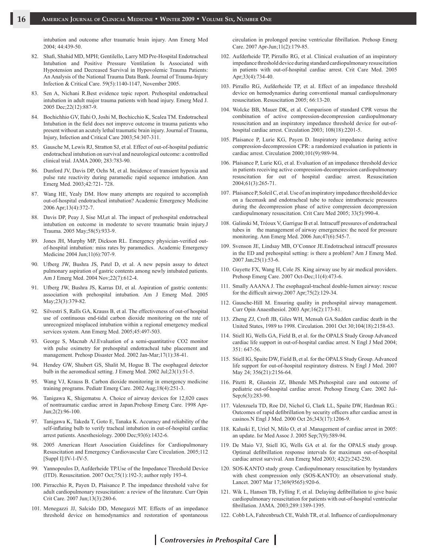intubation and outcome after traumatic brain injury. Ann Emerg Med 2004; 44:439-50.

- 82. Shafi, Shahid MD, MPH; Gentilello, Larry MD Pre-Hospital Endotracheal Intubation and Positive Pressure Ventilation Is Associated with Hypotension and Decreased Survival in Hypovolemic Trauma Patients: An Analysis of the National Trauma Data Bank. Journal of Trauma-Injury Infection & Critical Care. 59(5):1140-1147, November 2005.
- 83. Sen A, Nichani R.Best evidence topic report. Prehospital endotracheal intubation in adult major trauma patients with head injury. Emerg Med J. 2005 Dec;22(12):887-9.
- 84. Bochichhio GV, Ilahi O, Joshi M, Bochicchio K, Scalea TM. Endotracheal Intubation in the field does not improve outcome in trauma patients who present without an acutely lethal traumatic brain injury. Journal of Trauma, Injury, Infection and Critical Care 2003;54:307-311.
- 85. Gausche M, Lewis RJ, Stratton SJ, et al. Effect of out-of-hospital pediatric endotracheal intubation on survival and neurological outcome: a controlled clinical trial. JAMA 2000; 283:783-90.
- 86. Dunford JV, Davis DP, Ochs M, et al. Incidence of transient hypoxia and pulse rate reactivity during paramedic rapid sequence intubation. Ann Emerg Med. 2003;42:721- 728.
- 87. Wang HE, Yealy DM. How many attempts are required to accomplish out-of-hospital endotracheal intubation? Academic Emergency Medicine 2006 Apr;13(4):372-7.
- 88. Davis DP, Peay J, Sise MJ,et al. The impact of prehospital endotracheal intubation on outcome in moderate to severe traumatic brain injury.J Trauma. 2005 May;58(5):933-9.
- 89. Jones JH, Murphy MP, Dickson RL. Emergency physician-verified outof-hospital intubation: miss rates by paramedics. Academic Emergency Medicine 2004 Jun;11(6):707-9.
- 90. Ufberg JW, Bushra JS, Patel D, et al. A new pepsin assay to detect pulmonary aspiration of gastric contents among newly intubated patients. Am J Emerg Med. 2004 Nov;22(7):612-4.
- 91. Ufberg JW, Bushra JS, Karras DJ, et al. Aspiration of gastric contents: association with prehospital intubation. Am J Emerg Med. 2005 May;23(3):379-82.
- 92. Silvestri S, Ralls GA, Krauss B, et al. The effectiveness of out-of hospital use of continuous end-tidal carbon dioxide monitoring on the rate of unrecognized misplaced intubation within a regional emergency medical services system. Ann Emerg Med. 2005;45:497-503.
- 93. George S, Macnab AJ.Evaluation of a semi-quantitative CO2 monitor with pulse oximetry for prehospital endotracheal tube placement and management. Prehosp Disaster Med. 2002 Jan-Mar;17(1):38-41.
- 94. Hendey GW, Shubert GS, Shalit M, Hogue B. The esophageal detector bulb in the aeromedical setting. J Emerg Med. 2002 Jul;23(1):51-5.
- 95. Wang VJ, Krauss B. Carbon dioxide monitoring in emergency medicine training programs. Pediatr Emerg Care. 2002 Aug;18(4):251-3.
- 96. Tanigawa K, Shigematsu A. Choice of airway devices for 12,020 cases of nontraumatic cardiac arrest in Japan.Prehosp Emerg Care. 1998 Apr-Jun;2(2):96-100.
- 97. Tanigawa K, Takeda T, Goto E, Tanaka K. Accuracy and reliability of the self-inflating bulb to verify tracheal intubation in out-of-hospital cardiac arrest patients. Anesthesiology. 2000 Dec;93(6):1432-6.
- 98. 2005 American Heart Association Guidelines for Cardiopulmonary Resuscitation and Emergency Cardiovascular Care Circulation. 2005;112 [Suppl I]:IV-1-IV-5.
- 99. Yannopoulos D, Aufderheide TP.Use of the Impedance Threshold Device (ITD). Resuscitation. 2007 Oct;75(1):192-3; author reply 193-4.
- 100. Pirracchio R, Payen D, Plaisance P. The impedance threshold valve for adult cardiopulmonary resuscitation: a review of the literature. Curr Opin Crit Care. 2007 Jun;13(3):280-6.
- 101. Menegazzi JJ, Salcido DD, Menegazzi MT. Effects of an impedance threshold device on hemodynamics and restoration of spontaneous

circulation in prolonged porcine ventricular fibrillation. Prehosp Emerg Care. 2007 Apr-Jun;11(2):179-85.

- 102. Aufderheide TP, Pirrallo RG, et al. Clinical evaluation of an inspiratory impedance threshold device during standard cardiopulmonary resuscitation in patients with out-of-hospital cardiac arrest. Crit Care Med. 2005 Apr;33(4):734-40.
- 103. Pirrallo RG, Aufderheide TP, et al. Effect of an impedance threshold device on hemodynamics during conventional manual cardiopulmonary resuscitation. Resuscitation 2005; 66:13-20.
- 104. Wolcke BB, Mauer DK, et al. Comparison of standard CPR versus the combination of active compression-decompression cardiopulmonary resuscitation and an inspiratory impedance threshold device for out-ofhospital cardiac arrest. Circulation 2003; 108(18):2201-5.
- 105. Plaisance P, Lurie KG, Payen D. Inspiratory impedance during active compression-decompression CPR: a randomized evaluation in patients in cardiac arrest. Circulation 2000;101(9):989-94.
- 106. Plaisance P, Lurie KG, et al. Evaluation of an impedance threshold device in patients receiving active compression-decompression cardiopulmonary resuscitation for out of hospital cardiac arrest. Resuscitation 2004;61(3):265-71.
- 107. Plaisance P, Soleil C, et al. Use of an inspiratory impedance threshold device on a facemask and endotracheal tube to reduce intrathoracic pressures during the decompression phase of active compression decompression cardiopulmonary resuscitation. Crit Care Med 2005; 33(5):990-4.
- 108. Galinski M, Tréoux V, Garrigue B et al. Intracuff pressures of endotracheal tubes in the management of airway emergencies: the need for pressure monitoring. Ann Emerg Med. 2006 Jun;47(6):545-7.
- 109. Svenson JE, Lindsay MB, O'Connor JE.Endotracheal intracuff pressures in the ED and prehospital setting: is there a problem? Am J Emerg Med. 2007 Jan;25(1):53-6.
- 110. Guyette FX, Wang H, Cole JS. King airway use by air medical providers. Prehosp Emerg Care. 2007 Oct-Dec;11(4):473-6.
- 111. Smally AAANA J. The esophageal-tracheal double-lumen airway: rescue for the difficult airway.2007 Apr;75(2):129-34.
- 112. Gausche-Hill M. Ensuring quality in prehospital airway management. Curr Opin Anaesthesiol. 2003 Apr;16(2):173-81.
- 113. Zheng ZJ, Croft JB, Giles WH, Mensah GA.Sudden cardiac death in the United States, 1989 to 1998. Circulation. 2001 Oct 30;104(18):2158-63.
- 114. Stiell IG, Wells GA, Field B, et al. for the OPALS Study Group Advanced cardiac life support in out-of-hospital cardiac arrest. N Engl J Med 2004; 351: 647-56.
- 115. Stiell IG, Spaite DW, Field B, et al. for the OPALS Study Group. Advanced life support for out-of-hospital respiratory distress. N Engl J Med. 2007 May 24; 356(21):2156-64.
- 116. Pitetti R, Glustein JZ, Bhende MS.Prehospital care and outcome of pediatric out-of-hospital cardiac arrest. Prehosp Emerg Care. 2002 Jul-Sep;6(3):283-90.
- 117. Valenzuela TD, Roe DJ, Nichol G, Clark LL, Spaite DW, Hardman RG.: Outcomes of rapid defibrillation by security officers after cardiac arrest in casinos.N Engl J Med. 2000 Oct 26;343(17):1206-9.
- 118. Kaluski E, Uriel N, Milo O, et al .Management of cardiac arrest in 2005: an update. Isr Med Assoc J. 2005 Sep;7(9):589-94.
- 119. De Maio VJ, Stiell IG, Wells GA et al. for the OPALS study group. Optimal defibrillation response intervals for maximum out-of-hospital cardiac arrest survival. Ann Emerg Med 2003; 42(2):242-250.
- 120. SOS-KANTO study group. Cardiopulmonary resuscitation by bystanders with chest compression only (SOS-KANTO): an observational study. Lancet. 2007 Mar 17;369(9565):920-6.
- 121. Wik L, Hansen TB, Fylling F, et al. Delaying defibrillation to give basic cardiopulmonary resuscitation for patients with out-of-hospital ventricular fibrillation. JAMA. 2003;289:1389-1395.
- 122. Cobb LA, Fahrenbruch CE, Walsh TR, et al. Influence of cardiopulmonary